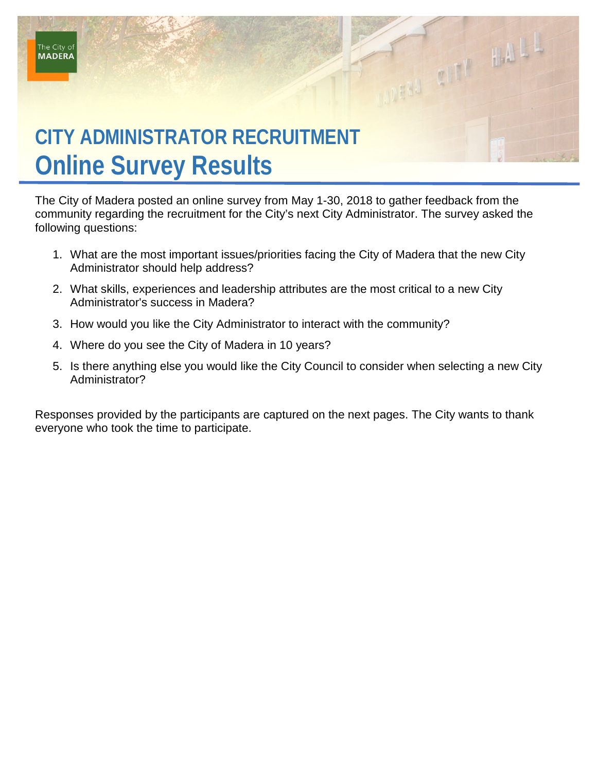# **CITY ADMINISTRATOR RECRUITMENT Online Survey Results**

The City of Madera posted an online survey from May 1-30, 2018 to gather feedback from the community regarding the recruitment for the City's next City Administrator. The survey asked the following questions:

THE REAL PROPERTY

- 1. What are the most important issues/priorities facing the City of Madera that the new City Administrator should help address?
- 2. What skills, experiences and leadership attributes are the most critical to a new City Administrator's success in Madera?
- 3. How would you like the City Administrator to interact with the community?
- 4. Where do you see the City of Madera in 10 years?
- 5. Is there anything else you would like the City Council to consider when selecting a new City Administrator?

Responses provided by the participants are captured on the next pages. The City wants to thank everyone who took the time to participate.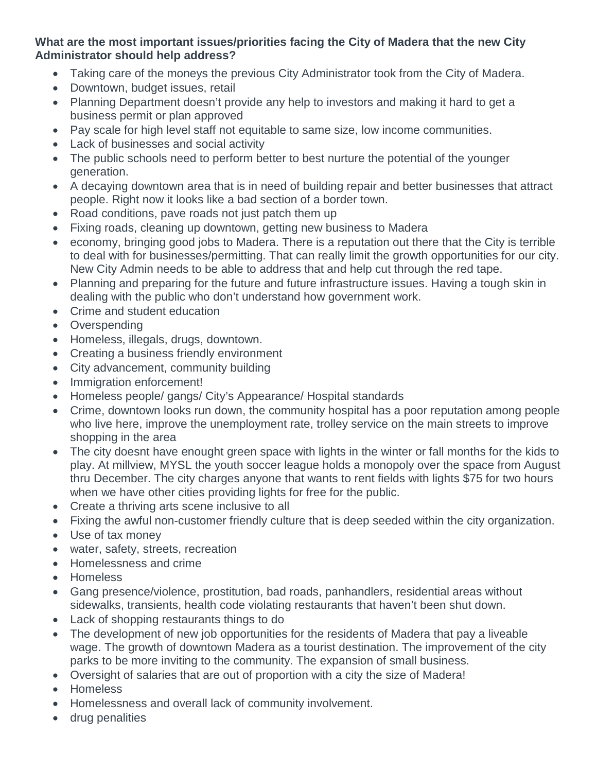### **What are the most important issues/priorities facing the City of Madera that the new City Administrator should help address?**

- Taking care of the moneys the previous City Administrator took from the City of Madera.
- Downtown, budget issues, retail
- Planning Department doesn't provide any help to investors and making it hard to get a business permit or plan approved
- Pay scale for high level staff not equitable to same size, low income communities.
- Lack of businesses and social activity
- The public schools need to perform better to best nurture the potential of the younger generation.
- A decaying downtown area that is in need of building repair and better businesses that attract people. Right now it looks like a bad section of a border town.
- Road conditions, pave roads not just patch them up
- Fixing roads, cleaning up downtown, getting new business to Madera
- economy, bringing good jobs to Madera. There is a reputation out there that the City is terrible to deal with for businesses/permitting. That can really limit the growth opportunities for our city. New City Admin needs to be able to address that and help cut through the red tape.
- Planning and preparing for the future and future infrastructure issues. Having a tough skin in dealing with the public who don't understand how government work.
- Crime and student education
- Overspending
- Homeless, illegals, drugs, downtown.
- Creating a business friendly environment
- City advancement, community building
- Immigration enforcement!
- Homeless people/ gangs/ City's Appearance/ Hospital standards
- Crime, downtown looks run down, the community hospital has a poor reputation among people who live here, improve the unemployment rate, trolley service on the main streets to improve shopping in the area
- The city doesnt have enought green space with lights in the winter or fall months for the kids to play. At millview, MYSL the youth soccer league holds a monopoly over the space from August thru December. The city charges anyone that wants to rent fields with lights \$75 for two hours when we have other cities providing lights for free for the public.
- Create a thriving arts scene inclusive to all
- Fixing the awful non-customer friendly culture that is deep seeded within the city organization.
- Use of tax money
- water, safety, streets, recreation
- Homelessness and crime
- Homeless
- Gang presence/violence, prostitution, bad roads, panhandlers, residential areas without sidewalks, transients, health code violating restaurants that haven't been shut down.
- Lack of shopping restaurants things to do
- The development of new job opportunities for the residents of Madera that pay a liveable wage. The growth of downtown Madera as a tourist destination. The improvement of the city parks to be more inviting to the community. The expansion of small business.
- Oversight of salaries that are out of proportion with a city the size of Madera!
- Homeless
- Homelessness and overall lack of community involvement.
- drug penalities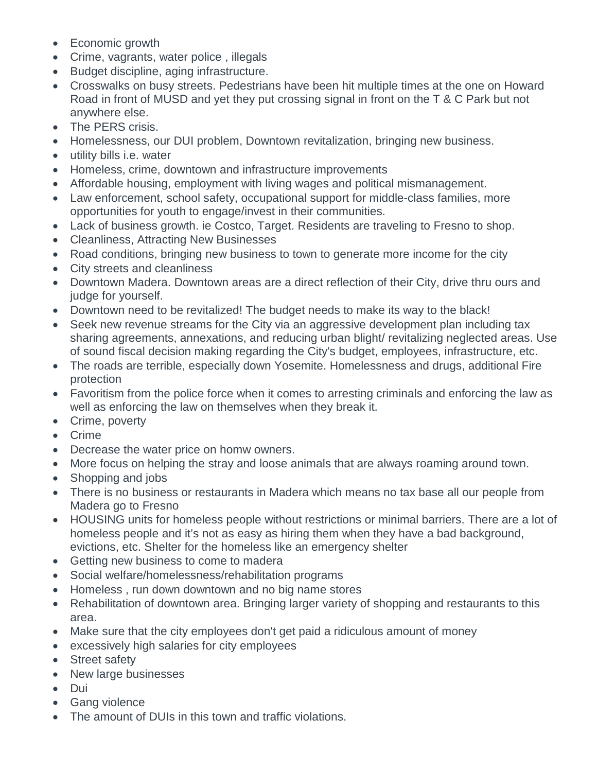- Economic growth
- Crime, vagrants, water police , illegals
- Budget discipline, aging infrastructure.
- Crosswalks on busy streets. Pedestrians have been hit multiple times at the one on Howard Road in front of MUSD and yet they put crossing signal in front on the T & C Park but not anywhere else.
- The PERS crisis.
- Homelessness, our DUI problem, Downtown revitalization, bringing new business.
- utility bills i.e. water
- Homeless, crime, downtown and infrastructure improvements
- Affordable housing, employment with living wages and political mismanagement.
- Law enforcement, school safety, occupational support for middle-class families, more opportunities for youth to engage/invest in their communities.
- Lack of business growth. ie Costco, Target. Residents are traveling to Fresno to shop.
- Cleanliness, Attracting New Businesses
- Road conditions, bringing new business to town to generate more income for the city
- City streets and cleanliness
- Downtown Madera. Downtown areas are a direct reflection of their City, drive thru ours and judge for yourself.
- Downtown need to be revitalized! The budget needs to make its way to the black!
- Seek new revenue streams for the City via an aggressive development plan including tax sharing agreements, annexations, and reducing urban blight/ revitalizing neglected areas. Use of sound fiscal decision making regarding the City's budget, employees, infrastructure, etc.
- The roads are terrible, especially down Yosemite. Homelessness and drugs, additional Fire protection
- Favoritism from the police force when it comes to arresting criminals and enforcing the law as well as enforcing the law on themselves when they break it.
- Crime, poverty
- Crime
- Decrease the water price on homw owners.
- More focus on helping the stray and loose animals that are always roaming around town.
- Shopping and jobs
- There is no business or restaurants in Madera which means no tax base all our people from Madera go to Fresno
- HOUSING units for homeless people without restrictions or minimal barriers. There are a lot of homeless people and it's not as easy as hiring them when they have a bad background, evictions, etc. Shelter for the homeless like an emergency shelter
- Getting new business to come to madera
- Social welfare/homelessness/rehabilitation programs
- Homeless , run down downtown and no big name stores
- Rehabilitation of downtown area. Bringing larger variety of shopping and restaurants to this area.
- Make sure that the city employees don't get paid a ridiculous amount of money
- excessively high salaries for city employees
- Street safety
- New large businesses
- Dui
- Gang violence
- The amount of DUIs in this town and traffic violations.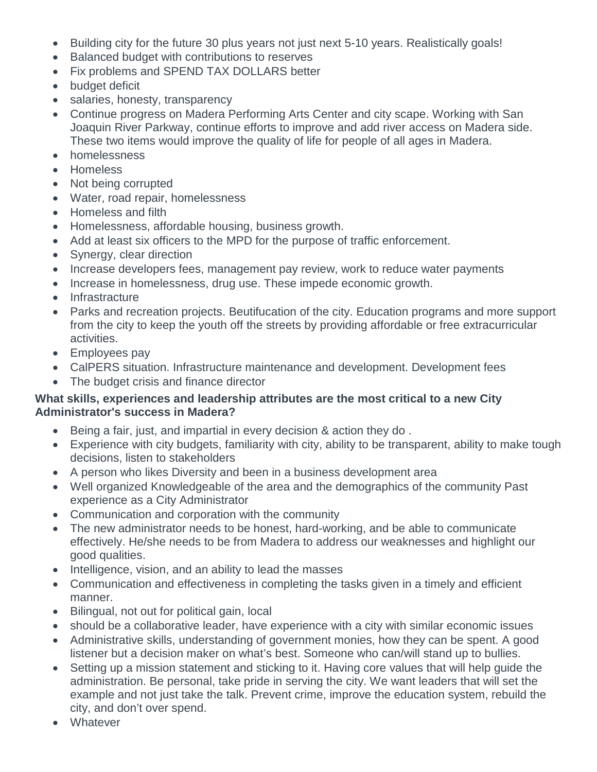- Building city for the future 30 plus years not just next 5-10 years. Realistically goals!
- Balanced budget with contributions to reserves
- Fix problems and SPEND TAX DOLLARS better
- budget deficit
- salaries, honesty, transparency
- Continue progress on Madera Performing Arts Center and city scape. Working with San Joaquin River Parkway, continue efforts to improve and add river access on Madera side. These two items would improve the quality of life for people of all ages in Madera.
- homelessness
- Homeless
- Not being corrupted
- Water, road repair, homelessness
- Homeless and filth
- Homelessness, affordable housing, business growth.
- Add at least six officers to the MPD for the purpose of traffic enforcement.
- Synergy, clear direction
- Increase developers fees, management pay review, work to reduce water payments
- Increase in homelessness, drug use. These impede economic growth.
- Infrastracture
- Parks and recreation projects. Beutifucation of the city. Education programs and more support from the city to keep the youth off the streets by providing affordable or free extracurricular activities.
- Employees pay
- CalPERS situation. Infrastructure maintenance and development. Development fees
- The budget crisis and finance director

#### **What skills, experiences and leadership attributes are the most critical to a new City Administrator's success in Madera?**

- Being a fair, just, and impartial in every decision & action they do .
- Experience with city budgets, familiarity with city, ability to be transparent, ability to make tough decisions, listen to stakeholders
- A person who likes Diversity and been in a business development area
- Well organized Knowledgeable of the area and the demographics of the community Past experience as a City Administrator
- Communication and corporation with the community
- The new administrator needs to be honest, hard-working, and be able to communicate effectively. He/she needs to be from Madera to address our weaknesses and highlight our good qualities.
- Intelligence, vision, and an ability to lead the masses
- Communication and effectiveness in completing the tasks given in a timely and efficient manner.
- Bilingual, not out for political gain, local
- should be a collaborative leader, have experience with a city with similar economic issues
- Administrative skills, understanding of government monies, how they can be spent. A good listener but a decision maker on what's best. Someone who can/will stand up to bullies.
- Setting up a mission statement and sticking to it. Having core values that will help quide the administration. Be personal, take pride in serving the city. We want leaders that will set the example and not just take the talk. Prevent crime, improve the education system, rebuild the city, and don't over spend.
- **Whatever**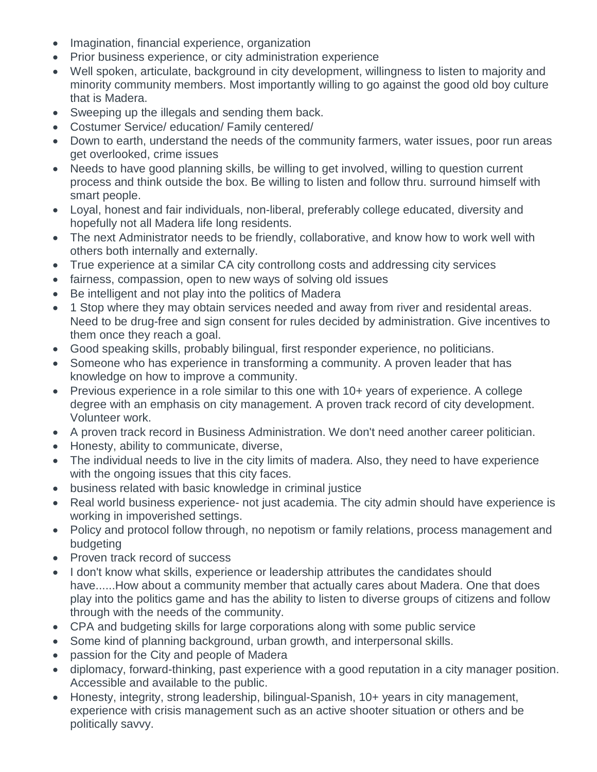- Imagination, financial experience, organization
- Prior business experience, or city administration experience
- Well spoken, articulate, background in city development, willingness to listen to majority and minority community members. Most importantly willing to go against the good old boy culture that is Madera.
- Sweeping up the illegals and sending them back.
- Costumer Service/ education/ Family centered/
- Down to earth, understand the needs of the community farmers, water issues, poor run areas get overlooked, crime issues
- Needs to have good planning skills, be willing to get involved, willing to question current process and think outside the box. Be willing to listen and follow thru. surround himself with smart people.
- Loyal, honest and fair individuals, non-liberal, preferably college educated, diversity and hopefully not all Madera life long residents.
- The next Administrator needs to be friendly, collaborative, and know how to work well with others both internally and externally.
- True experience at a similar CA city controllong costs and addressing city services
- fairness, compassion, open to new ways of solving old issues
- Be intelligent and not play into the politics of Madera
- 1 Stop where they may obtain services needed and away from river and residental areas. Need to be drug-free and sign consent for rules decided by administration. Give incentives to them once they reach a goal.
- Good speaking skills, probably bilingual, first responder experience, no politicians.
- Someone who has experience in transforming a community. A proven leader that has knowledge on how to improve a community.
- Previous experience in a role similar to this one with 10+ years of experience. A college degree with an emphasis on city management. A proven track record of city development. Volunteer work.
- A proven track record in Business Administration. We don't need another career politician.
- Honesty, ability to communicate, diverse,
- The individual needs to live in the city limits of madera. Also, they need to have experience with the ongoing issues that this city faces.
- business related with basic knowledge in criminal justice
- Real world business experience- not just academia. The city admin should have experience is working in impoverished settings.
- Policy and protocol follow through, no nepotism or family relations, process management and budgeting
- Proven track record of success
- I don't know what skills, experience or leadership attributes the candidates should have......How about a community member that actually cares about Madera. One that does play into the politics game and has the ability to listen to diverse groups of citizens and follow through with the needs of the community.
- CPA and budgeting skills for large corporations along with some public service
- Some kind of planning background, urban growth, and interpersonal skills.
- passion for the City and people of Madera
- diplomacy, forward-thinking, past experience with a good reputation in a city manager position. Accessible and available to the public.
- Honesty, integrity, strong leadership, bilingual-Spanish, 10+ years in city management, experience with crisis management such as an active shooter situation or others and be politically savvy.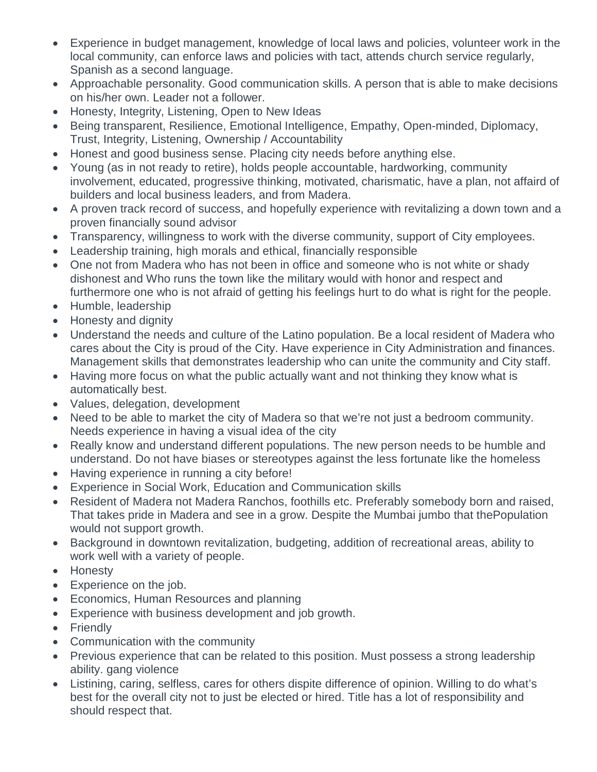- Experience in budget management, knowledge of local laws and policies, volunteer work in the local community, can enforce laws and policies with tact, attends church service regularly, Spanish as a second language.
- Approachable personality. Good communication skills. A person that is able to make decisions on his/her own. Leader not a follower.
- Honesty, Integrity, Listening, Open to New Ideas
- Being transparent, Resilience, Emotional Intelligence, Empathy, Open-minded, Diplomacy, Trust, Integrity, Listening, Ownership / Accountability
- Honest and good business sense. Placing city needs before anything else.
- Young (as in not ready to retire), holds people accountable, hardworking, community involvement, educated, progressive thinking, motivated, charismatic, have a plan, not affaird of builders and local business leaders, and from Madera.
- A proven track record of success, and hopefully experience with revitalizing a down town and a proven financially sound advisor
- Transparency, willingness to work with the diverse community, support of City employees.
- Leadership training, high morals and ethical, financially responsible
- One not from Madera who has not been in office and someone who is not white or shady dishonest and Who runs the town like the military would with honor and respect and furthermore one who is not afraid of getting his feelings hurt to do what is right for the people.
- Humble, leadership
- Honesty and dignity
- Understand the needs and culture of the Latino population. Be a local resident of Madera who cares about the City is proud of the City. Have experience in City Administration and finances. Management skills that demonstrates leadership who can unite the community and City staff.
- Having more focus on what the public actually want and not thinking they know what is automatically best.
- Values, delegation, development
- Need to be able to market the city of Madera so that we're not just a bedroom community. Needs experience in having a visual idea of the city
- Really know and understand different populations. The new person needs to be humble and understand. Do not have biases or stereotypes against the less fortunate like the homeless
- Having experience in running a city before!
- Experience in Social Work, Education and Communication skills
- Resident of Madera not Madera Ranchos, foothills etc. Preferably somebody born and raised, That takes pride in Madera and see in a grow. Despite the Mumbai jumbo that thePopulation would not support growth.
- Background in downtown revitalization, budgeting, addition of recreational areas, ability to work well with a variety of people.
- Honesty
- Experience on the job.
- Economics, Human Resources and planning
- Experience with business development and job growth.
- Friendly
- Communication with the community
- Previous experience that can be related to this position. Must possess a strong leadership ability. gang violence
- Listining, caring, selfless, cares for others dispite difference of opinion. Willing to do what's best for the overall city not to just be elected or hired. Title has a lot of responsibility and should respect that.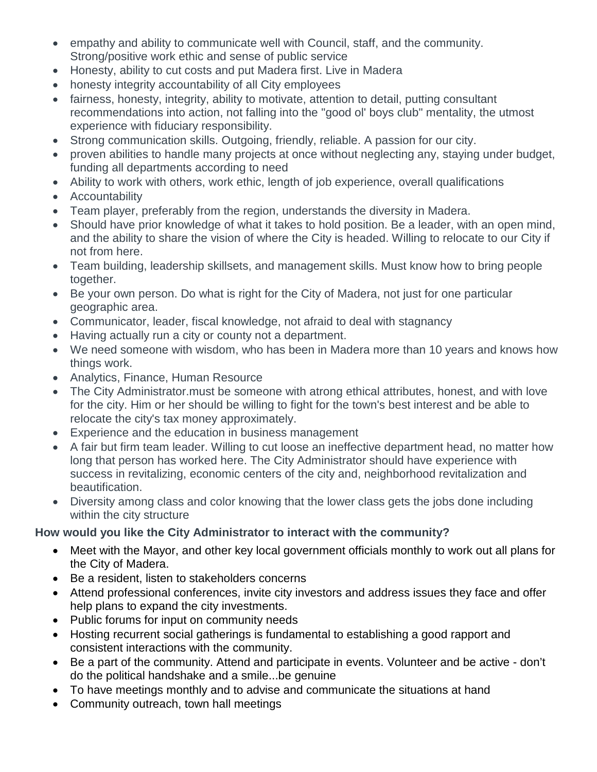- empathy and ability to communicate well with Council, staff, and the community. Strong/positive work ethic and sense of public service
- Honesty, ability to cut costs and put Madera first. Live in Madera
- honesty integrity accountability of all City employees
- fairness, honesty, integrity, ability to motivate, attention to detail, putting consultant recommendations into action, not falling into the "good ol' boys club" mentality, the utmost experience with fiduciary responsibility.
- Strong communication skills. Outgoing, friendly, reliable. A passion for our city.
- proven abilities to handle many projects at once without neglecting any, staying under budget, funding all departments according to need
- Ability to work with others, work ethic, length of job experience, overall qualifications
- Accountability
- Team player, preferably from the region, understands the diversity in Madera.
- Should have prior knowledge of what it takes to hold position. Be a leader, with an open mind, and the ability to share the vision of where the City is headed. Willing to relocate to our City if not from here.
- Team building, leadership skillsets, and management skills. Must know how to bring people together.
- Be your own person. Do what is right for the City of Madera, not just for one particular geographic area.
- Communicator, leader, fiscal knowledge, not afraid to deal with stagnancy
- Having actually run a city or county not a department.
- We need someone with wisdom, who has been in Madera more than 10 years and knows how things work.
- Analytics, Finance, Human Resource
- The City Administrator.must be someone with atrong ethical attributes, honest, and with love for the city. Him or her should be willing to fight for the town's best interest and be able to relocate the city's tax money approximately.
- Experience and the education in business management
- A fair but firm team leader. Willing to cut loose an ineffective department head, no matter how long that person has worked here. The City Administrator should have experience with success in revitalizing, economic centers of the city and, neighborhood revitalization and beautification.
- Diversity among class and color knowing that the lower class gets the jobs done including within the city structure

# **How would you like the City Administrator to interact with the community?**

- Meet with the Mayor, and other key local government officials monthly to work out all plans for the City of Madera.
- Be a resident, listen to stakeholders concerns
- Attend professional conferences, invite city investors and address issues they face and offer help plans to expand the city investments.
- Public forums for input on community needs
- Hosting recurrent social gatherings is fundamental to establishing a good rapport and consistent interactions with the community.
- Be a part of the community. Attend and participate in events. Volunteer and be active don't do the political handshake and a smile...be genuine
- To have meetings monthly and to advise and communicate the situations at hand
- Community outreach, town hall meetings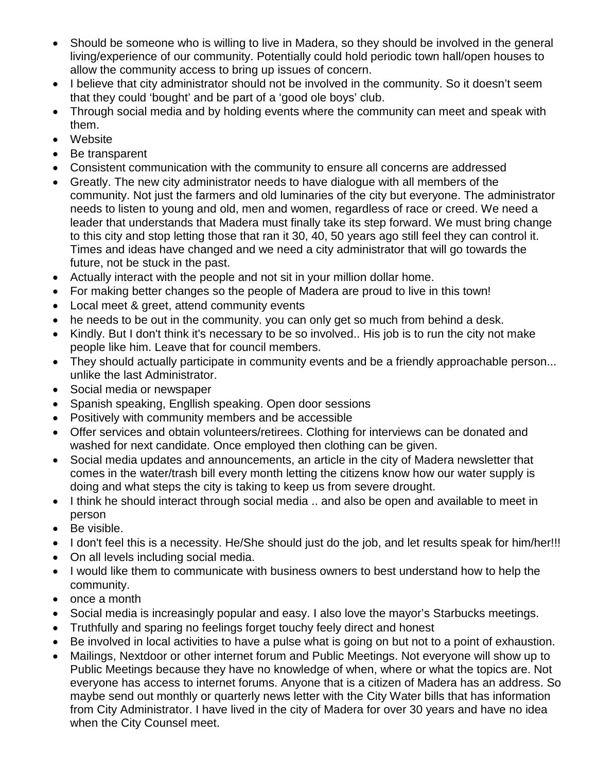- Should be someone who is willing to live in Madera, so they should be involved in the general living/experience of our community. Potentially could hold periodic town hall/open houses to allow the community access to bring up issues of concern.
- I believe that city administrator should not be involved in the community. So it doesn't seem that they could 'bought' and be part of a 'good ole boys' club.
- Through social media and by holding events where the community can meet and speak with them.
- Website
- Be transparent
- Consistent communication with the community to ensure all concerns are addressed
- Greatly. The new city administrator needs to have dialogue with all members of the community. Not just the farmers and old luminaries of the city but everyone. The administrator needs to listen to young and old, men and women, regardless of race or creed. We need a leader that understands that Madera must finally take its step forward. We must bring change to this city and stop letting those that ran it 30, 40, 50 years ago still feel they can control it. Times and ideas have changed and we need a city administrator that will go towards the future, not be stuck in the past.
- Actually interact with the people and not sit in your million dollar home.
- For making better changes so the people of Madera are proud to live in this town!
- Local meet & greet, attend community events
- he needs to be out in the community. you can only get so much from behind a desk.
- Kindly. But I don't think it's necessary to be so involved.. His job is to run the city not make people like him. Leave that for council members.
- They should actually participate in community events and be a friendly approachable person... unlike the last Administrator.
- Social media or newspaper
- Spanish speaking, Engllish speaking. Open door sessions
- Positively with community members and be accessible
- Offer services and obtain volunteers/retirees. Clothing for interviews can be donated and washed for next candidate. Once employed then clothing can be given.
- Social media updates and announcements, an article in the city of Madera newsletter that comes in the water/trash bill every month letting the citizens know how our water supply is doing and what steps the city is taking to keep us from severe drought.
- I think he should interact through social media .. and also be open and available to meet in person
- Be visible.
- I don't feel this is a necessity. He/She should just do the job, and let results speak for him/her!!!
- On all levels including social media.
- I would like them to communicate with business owners to best understand how to help the community.
- once a month
- Social media is increasingly popular and easy. I also love the mayor's Starbucks meetings.
- Truthfully and sparing no feelings forget touchy feely direct and honest
- Be involved in local activities to have a pulse what is going on but not to a point of exhaustion.
- Mailings, Nextdoor or other internet forum and Public Meetings. Not everyone will show up to Public Meetings because they have no knowledge of when, where or what the topics are. Not everyone has access to internet forums. Anyone that is a citizen of Madera has an address. So maybe send out monthly or quarterly news letter with the City Water bills that has information from City Administrator. I have lived in the city of Madera for over 30 years and have no idea when the City Counsel meet.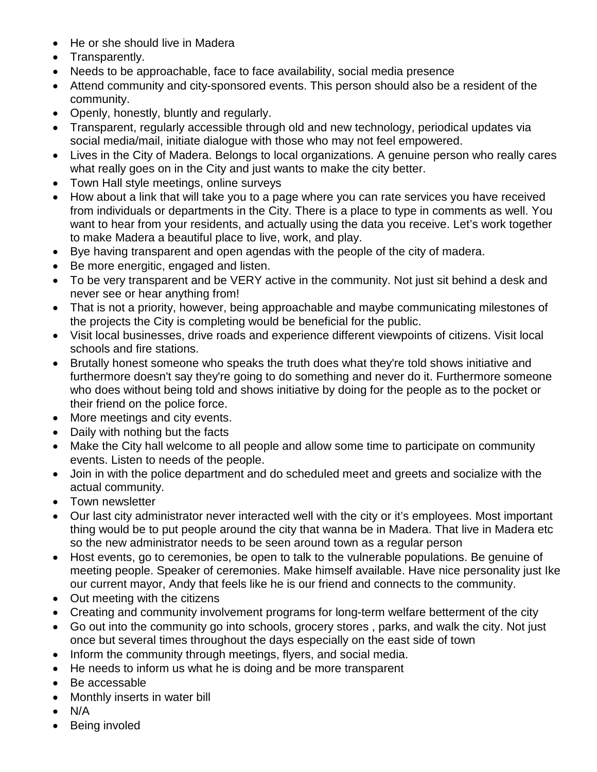- He or she should live in Madera
- Transparently.
- Needs to be approachable, face to face availability, social media presence
- Attend community and city-sponsored events. This person should also be a resident of the community.
- Openly, honestly, bluntly and regularly.
- Transparent, regularly accessible through old and new technology, periodical updates via social media/mail, initiate dialogue with those who may not feel empowered.
- Lives in the City of Madera. Belongs to local organizations. A genuine person who really cares what really goes on in the City and just wants to make the city better.
- Town Hall style meetings, online surveys
- How about a link that will take you to a page where you can rate services you have received from individuals or departments in the City. There is a place to type in comments as well. You want to hear from your residents, and actually using the data you receive. Let's work together to make Madera a beautiful place to live, work, and play.
- Bye having transparent and open agendas with the people of the city of madera.
- Be more energitic, engaged and listen.
- To be very transparent and be VERY active in the community. Not just sit behind a desk and never see or hear anything from!
- That is not a priority, however, being approachable and maybe communicating milestones of the projects the City is completing would be beneficial for the public.
- Visit local businesses, drive roads and experience different viewpoints of citizens. Visit local schools and fire stations.
- Brutally honest someone who speaks the truth does what they're told shows initiative and furthermore doesn't say they're going to do something and never do it. Furthermore someone who does without being told and shows initiative by doing for the people as to the pocket or their friend on the police force.
- More meetings and city events.
- Daily with nothing but the facts
- Make the City hall welcome to all people and allow some time to participate on community events. Listen to needs of the people.
- Join in with the police department and do scheduled meet and greets and socialize with the actual community.
- Town newsletter
- Our last city administrator never interacted well with the city or it's employees. Most important thing would be to put people around the city that wanna be in Madera. That live in Madera etc so the new administrator needs to be seen around town as a regular person
- Host events, go to ceremonies, be open to talk to the vulnerable populations. Be genuine of meeting people. Speaker of ceremonies. Make himself available. Have nice personality just Ike our current mayor, Andy that feels like he is our friend and connects to the community.
- Out meeting with the citizens
- Creating and community involvement programs for long-term welfare betterment of the city
- Go out into the community go into schools, grocery stores , parks, and walk the city. Not just once but several times throughout the days especially on the east side of town
- Inform the community through meetings, flyers, and social media.
- He needs to inform us what he is doing and be more transparent
- Be accessable
- Monthly inserts in water bill
- $\bullet$  N/A
- Being involed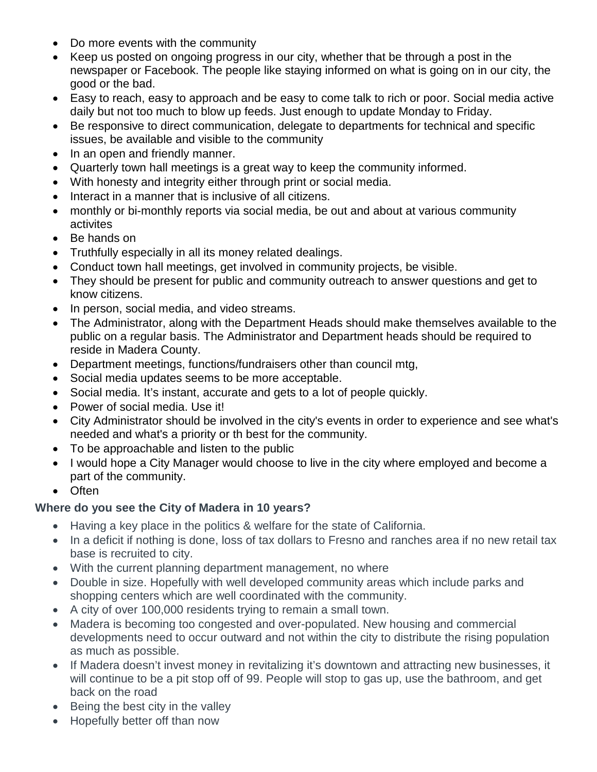- Do more events with the community
- Keep us posted on ongoing progress in our city, whether that be through a post in the newspaper or Facebook. The people like staying informed on what is going on in our city, the good or the bad.
- Easy to reach, easy to approach and be easy to come talk to rich or poor. Social media active daily but not too much to blow up feeds. Just enough to update Monday to Friday.
- Be responsive to direct communication, delegate to departments for technical and specific issues, be available and visible to the community
- In an open and friendly manner.
- Quarterly town hall meetings is a great way to keep the community informed.
- With honesty and integrity either through print or social media.
- Interact in a manner that is inclusive of all citizens.
- monthly or bi-monthly reports via social media, be out and about at various community activites
- Be hands on
- Truthfully especially in all its money related dealings.
- Conduct town hall meetings, get involved in community projects, be visible.
- They should be present for public and community outreach to answer questions and get to know citizens.
- In person, social media, and video streams.
- The Administrator, along with the Department Heads should make themselves available to the public on a regular basis. The Administrator and Department heads should be required to reside in Madera County.
- Department meetings, functions/fundraisers other than council mtg,
- Social media updates seems to be more acceptable.
- Social media. It's instant, accurate and gets to a lot of people quickly.
- Power of social media. Use it!
- City Administrator should be involved in the city's events in order to experience and see what's needed and what's a priority or th best for the community.
- To be approachable and listen to the public
- I would hope a City Manager would choose to live in the city where employed and become a part of the community.
- Often

# **Where do you see the City of Madera in 10 years?**

- Having a key place in the politics & welfare for the state of California.
- In a deficit if nothing is done, loss of tax dollars to Fresno and ranches area if no new retail tax base is recruited to city.
- With the current planning department management, no where
- Double in size. Hopefully with well developed community areas which include parks and shopping centers which are well coordinated with the community.
- A city of over 100,000 residents trying to remain a small town.
- Madera is becoming too congested and over-populated. New housing and commercial developments need to occur outward and not within the city to distribute the rising population as much as possible.
- If Madera doesn't invest money in revitalizing it's downtown and attracting new businesses, it will continue to be a pit stop off of 99. People will stop to gas up, use the bathroom, and get back on the road
- Being the best city in the valley
- Hopefully better off than now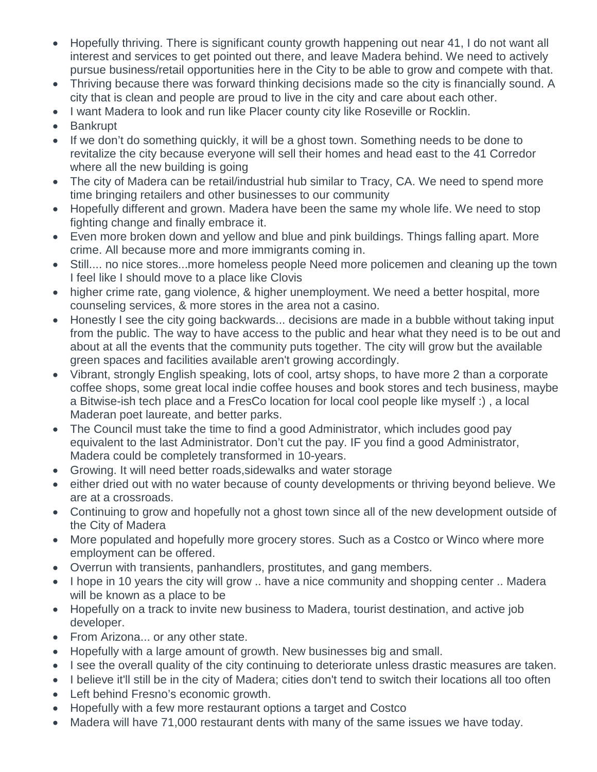- Hopefully thriving. There is significant county growth happening out near 41, I do not want all interest and services to get pointed out there, and leave Madera behind. We need to actively pursue business/retail opportunities here in the City to be able to grow and compete with that.
- Thriving because there was forward thinking decisions made so the city is financially sound. A city that is clean and people are proud to live in the city and care about each other.
- I want Madera to look and run like Placer county city like Roseville or Rocklin.
- Bankrupt
- If we don't do something quickly, it will be a ghost town. Something needs to be done to revitalize the city because everyone will sell their homes and head east to the 41 Corredor where all the new building is going
- The city of Madera can be retail/industrial hub similar to Tracy, CA. We need to spend more time bringing retailers and other businesses to our community
- Hopefully different and grown. Madera have been the same my whole life. We need to stop fighting change and finally embrace it.
- Even more broken down and yellow and blue and pink buildings. Things falling apart. More crime. All because more and more immigrants coming in.
- Still.... no nice stores...more homeless people Need more policemen and cleaning up the town I feel like I should move to a place like Clovis
- higher crime rate, gang violence, & higher unemployment. We need a better hospital, more counseling services, & more stores in the area not a casino.
- Honestly I see the city going backwards... decisions are made in a bubble without taking input from the public. The way to have access to the public and hear what they need is to be out and about at all the events that the community puts together. The city will grow but the available green spaces and facilities available aren't growing accordingly.
- Vibrant, strongly English speaking, lots of cool, artsy shops, to have more 2 than a corporate coffee shops, some great local indie coffee houses and book stores and tech business, maybe a Bitwise-ish tech place and a FresCo location for local cool people like myself :) , a local Maderan poet laureate, and better parks.
- The Council must take the time to find a good Administrator, which includes good pay equivalent to the last Administrator. Don't cut the pay. IF you find a good Administrator, Madera could be completely transformed in 10-years.
- Growing. It will need better roads,sidewalks and water storage
- either dried out with no water because of county developments or thriving beyond believe. We are at a crossroads.
- Continuing to grow and hopefully not a ghost town since all of the new development outside of the City of Madera
- More populated and hopefully more grocery stores. Such as a Costco or Winco where more employment can be offered.
- Overrun with transients, panhandlers, prostitutes, and gang members.
- I hope in 10 years the city will grow .. have a nice community and shopping center .. Madera will be known as a place to be
- Hopefully on a track to invite new business to Madera, tourist destination, and active job developer.
- From Arizona... or any other state.
- Hopefully with a large amount of growth. New businesses big and small.
- I see the overall quality of the city continuing to deteriorate unless drastic measures are taken.
- I believe it'll still be in the city of Madera; cities don't tend to switch their locations all too often
- Left behind Fresno's economic growth.
- Hopefully with a few more restaurant options a target and Costco
- Madera will have 71,000 restaurant dents with many of the same issues we have today.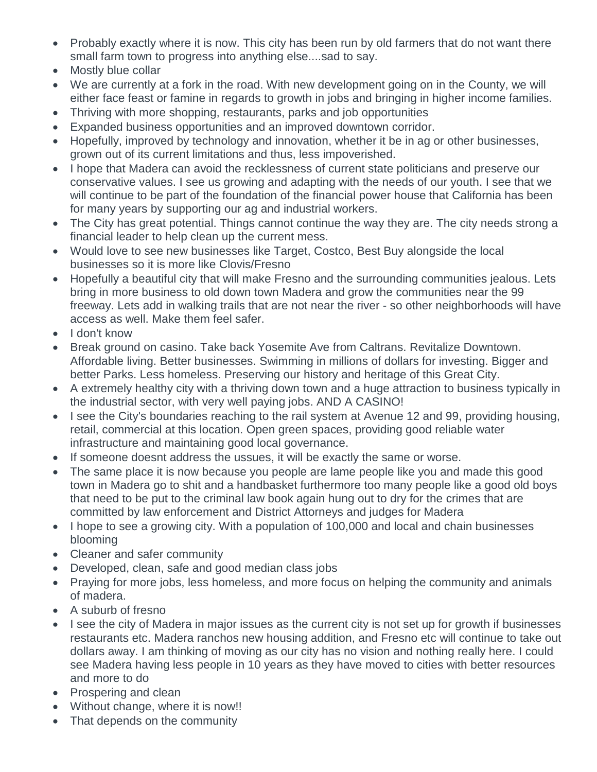- Probably exactly where it is now. This city has been run by old farmers that do not want there small farm town to progress into anything else....sad to say.
- Mostly blue collar
- We are currently at a fork in the road. With new development going on in the County, we will either face feast or famine in regards to growth in jobs and bringing in higher income families.
- Thriving with more shopping, restaurants, parks and job opportunities
- Expanded business opportunities and an improved downtown corridor.
- Hopefully, improved by technology and innovation, whether it be in ag or other businesses, grown out of its current limitations and thus, less impoverished.
- I hope that Madera can avoid the recklessness of current state politicians and preserve our conservative values. I see us growing and adapting with the needs of our youth. I see that we will continue to be part of the foundation of the financial power house that California has been for many years by supporting our ag and industrial workers.
- The City has great potential. Things cannot continue the way they are. The city needs strong a financial leader to help clean up the current mess.
- Would love to see new businesses like Target, Costco, Best Buy alongside the local businesses so it is more like Clovis/Fresno
- Hopefully a beautiful city that will make Fresno and the surrounding communities jealous. Lets bring in more business to old down town Madera and grow the communities near the 99 freeway. Lets add in walking trails that are not near the river - so other neighborhoods will have access as well. Make them feel safer.
- I don't know
- Break ground on casino. Take back Yosemite Ave from Caltrans. Revitalize Downtown. Affordable living. Better businesses. Swimming in millions of dollars for investing. Bigger and better Parks. Less homeless. Preserving our history and heritage of this Great City.
- A extremely healthy city with a thriving down town and a huge attraction to business typically in the industrial sector, with very well paying jobs. AND A CASINO!
- I see the City's boundaries reaching to the rail system at Avenue 12 and 99, providing housing, retail, commercial at this location. Open green spaces, providing good reliable water infrastructure and maintaining good local governance.
- If someone doesnt address the ussues, it will be exactly the same or worse.
- The same place it is now because you people are lame people like you and made this good town in Madera go to shit and a handbasket furthermore too many people like a good old boys that need to be put to the criminal law book again hung out to dry for the crimes that are committed by law enforcement and District Attorneys and judges for Madera
- I hope to see a growing city. With a population of 100,000 and local and chain businesses blooming
- Cleaner and safer community
- Developed, clean, safe and good median class jobs
- Praying for more jobs, less homeless, and more focus on helping the community and animals of madera.
- A suburb of fresno
- I see the city of Madera in major issues as the current city is not set up for growth if businesses restaurants etc. Madera ranchos new housing addition, and Fresno etc will continue to take out dollars away. I am thinking of moving as our city has no vision and nothing really here. I could see Madera having less people in 10 years as they have moved to cities with better resources and more to do
- Prospering and clean
- Without change, where it is now!!
- That depends on the community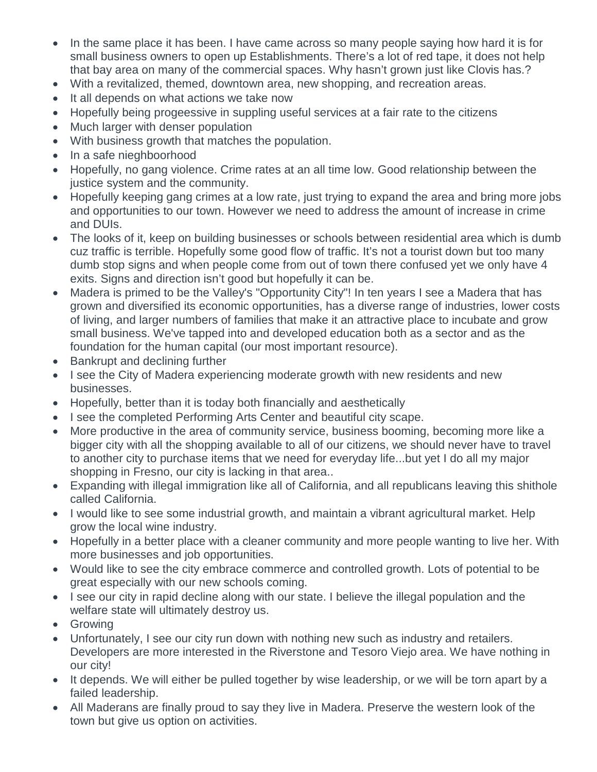- In the same place it has been. I have came across so many people saying how hard it is for small business owners to open up Establishments. There's a lot of red tape, it does not help that bay area on many of the commercial spaces. Why hasn't grown just like Clovis has.?
- With a revitalized, themed, downtown area, new shopping, and recreation areas.
- It all depends on what actions we take now
- Hopefully being progeessive in suppling useful services at a fair rate to the citizens
- Much larger with denser population
- With business growth that matches the population.
- In a safe nieghboorhood
- Hopefully, no gang violence. Crime rates at an all time low. Good relationship between the justice system and the community.
- Hopefully keeping gang crimes at a low rate, just trying to expand the area and bring more jobs and opportunities to our town. However we need to address the amount of increase in crime and DUIs.
- The looks of it, keep on building businesses or schools between residential area which is dumb cuz traffic is terrible. Hopefully some good flow of traffic. It's not a tourist down but too many dumb stop signs and when people come from out of town there confused yet we only have 4 exits. Signs and direction isn't good but hopefully it can be.
- Madera is primed to be the Valley's "Opportunity City"! In ten years I see a Madera that has grown and diversified its economic opportunities, has a diverse range of industries, lower costs of living, and larger numbers of families that make it an attractive place to incubate and grow small business. We've tapped into and developed education both as a sector and as the foundation for the human capital (our most important resource).
- Bankrupt and declining further
- I see the City of Madera experiencing moderate growth with new residents and new businesses.
- Hopefully, better than it is today both financially and aesthetically
- I see the completed Performing Arts Center and beautiful city scape.
- More productive in the area of community service, business booming, becoming more like a bigger city with all the shopping available to all of our citizens, we should never have to travel to another city to purchase items that we need for everyday life...but yet I do all my major shopping in Fresno, our city is lacking in that area..
- Expanding with illegal immigration like all of California, and all republicans leaving this shithole called California.
- I would like to see some industrial growth, and maintain a vibrant agricultural market. Help grow the local wine industry.
- Hopefully in a better place with a cleaner community and more people wanting to live her. With more businesses and job opportunities.
- Would like to see the city embrace commerce and controlled growth. Lots of potential to be great especially with our new schools coming.
- I see our city in rapid decline along with our state. I believe the illegal population and the welfare state will ultimately destroy us.
- Growing
- Unfortunately, I see our city run down with nothing new such as industry and retailers. Developers are more interested in the Riverstone and Tesoro Viejo area. We have nothing in our city!
- It depends. We will either be pulled together by wise leadership, or we will be torn apart by a failed leadership.
- All Maderans are finally proud to say they live in Madera. Preserve the western look of the town but give us option on activities.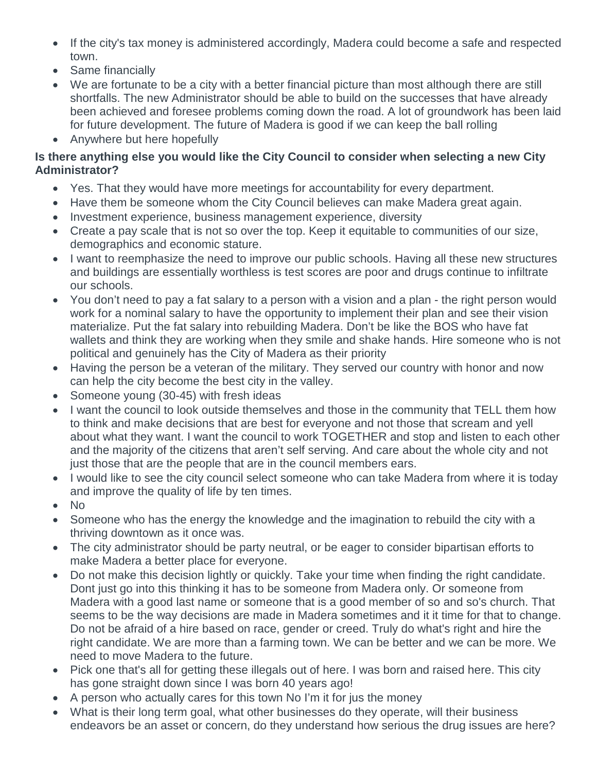- If the city's tax money is administered accordingly, Madera could become a safe and respected town.
- Same financially
- We are fortunate to be a city with a better financial picture than most although there are still shortfalls. The new Administrator should be able to build on the successes that have already been achieved and foresee problems coming down the road. A lot of groundwork has been laid for future development. The future of Madera is good if we can keep the ball rolling
- Anywhere but here hopefully

### **Is there anything else you would like the City Council to consider when selecting a new City Administrator?**

- Yes. That they would have more meetings for accountability for every department.
- Have them be someone whom the City Council believes can make Madera great again.
- Investment experience, business management experience, diversity
- Create a pay scale that is not so over the top. Keep it equitable to communities of our size, demographics and economic stature.
- I want to reemphasize the need to improve our public schools. Having all these new structures and buildings are essentially worthless is test scores are poor and drugs continue to infiltrate our schools.
- You don't need to pay a fat salary to a person with a vision and a plan the right person would work for a nominal salary to have the opportunity to implement their plan and see their vision materialize. Put the fat salary into rebuilding Madera. Don't be like the BOS who have fat wallets and think they are working when they smile and shake hands. Hire someone who is not political and genuinely has the City of Madera as their priority
- Having the person be a veteran of the military. They served our country with honor and now can help the city become the best city in the valley.
- Someone young (30-45) with fresh ideas
- I want the council to look outside themselves and those in the community that TELL them how to think and make decisions that are best for everyone and not those that scream and yell about what they want. I want the council to work TOGETHER and stop and listen to each other and the majority of the citizens that aren't self serving. And care about the whole city and not just those that are the people that are in the council members ears.
- I would like to see the city council select someone who can take Madera from where it is today and improve the quality of life by ten times.
- No
- Someone who has the energy the knowledge and the imagination to rebuild the city with a thriving downtown as it once was.
- The city administrator should be party neutral, or be eager to consider bipartisan efforts to make Madera a better place for everyone.
- Do not make this decision lightly or quickly. Take your time when finding the right candidate. Dont just go into this thinking it has to be someone from Madera only. Or someone from Madera with a good last name or someone that is a good member of so and so's church. That seems to be the way decisions are made in Madera sometimes and it it time for that to change. Do not be afraid of a hire based on race, gender or creed. Truly do what's right and hire the right candidate. We are more than a farming town. We can be better and we can be more. We need to move Madera to the future.
- Pick one that's all for getting these illegals out of here. I was born and raised here. This city has gone straight down since I was born 40 years ago!
- A person who actually cares for this town No I'm it for jus the money
- What is their long term goal, what other businesses do they operate, will their business endeavors be an asset or concern, do they understand how serious the drug issues are here?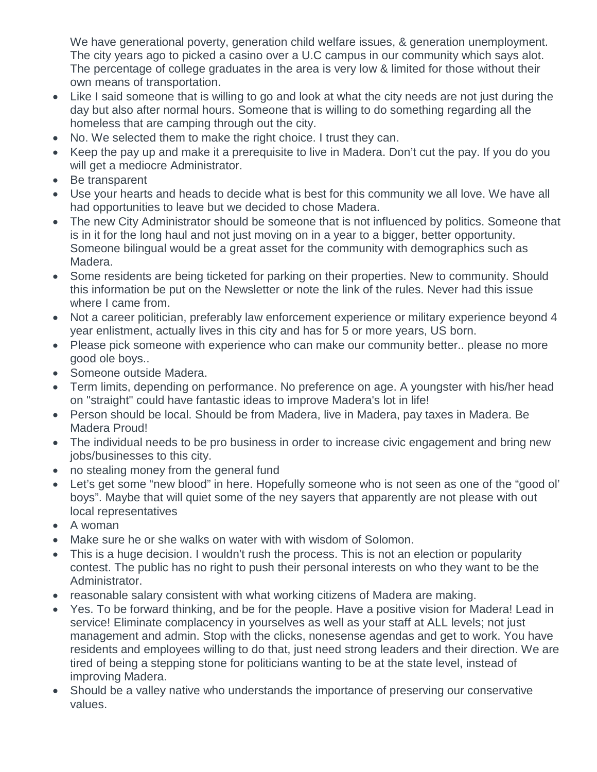We have generational poverty, generation child welfare issues, & generation unemployment. The city years ago to picked a casino over a U.C campus in our community which says alot. The percentage of college graduates in the area is very low & limited for those without their own means of transportation.

- Like I said someone that is willing to go and look at what the city needs are not just during the day but also after normal hours. Someone that is willing to do something regarding all the homeless that are camping through out the city.
- No. We selected them to make the right choice. I trust they can.
- Keep the pay up and make it a prerequisite to live in Madera. Don't cut the pay. If you do you will get a mediocre Administrator.
- Be transparent
- Use your hearts and heads to decide what is best for this community we all love. We have all had opportunities to leave but we decided to chose Madera.
- The new City Administrator should be someone that is not influenced by politics. Someone that is in it for the long haul and not just moving on in a year to a bigger, better opportunity. Someone bilingual would be a great asset for the community with demographics such as Madera.
- Some residents are being ticketed for parking on their properties. New to community. Should this information be put on the Newsletter or note the link of the rules. Never had this issue where I came from.
- Not a career politician, preferably law enforcement experience or military experience beyond 4 year enlistment, actually lives in this city and has for 5 or more years, US born.
- Please pick someone with experience who can make our community better.. please no more good ole boys..
- Someone outside Madera.
- Term limits, depending on performance. No preference on age. A youngster with his/her head on "straight" could have fantastic ideas to improve Madera's lot in life!
- Person should be local. Should be from Madera, live in Madera, pay taxes in Madera. Be Madera Proud!
- The individual needs to be pro business in order to increase civic engagement and bring new jobs/businesses to this city.
- no stealing money from the general fund
- Let's get some "new blood" in here. Hopefully someone who is not seen as one of the "good ol' boys". Maybe that will quiet some of the ney sayers that apparently are not please with out local representatives
- A woman
- Make sure he or she walks on water with with wisdom of Solomon.
- This is a huge decision. I wouldn't rush the process. This is not an election or popularity contest. The public has no right to push their personal interests on who they want to be the Administrator.
- reasonable salary consistent with what working citizens of Madera are making.
- Yes. To be forward thinking, and be for the people. Have a positive vision for Madera! Lead in service! Eliminate complacency in yourselves as well as your staff at ALL levels; not just management and admin. Stop with the clicks, nonesense agendas and get to work. You have residents and employees willing to do that, just need strong leaders and their direction. We are tired of being a stepping stone for politicians wanting to be at the state level, instead of improving Madera.
- Should be a valley native who understands the importance of preserving our conservative values.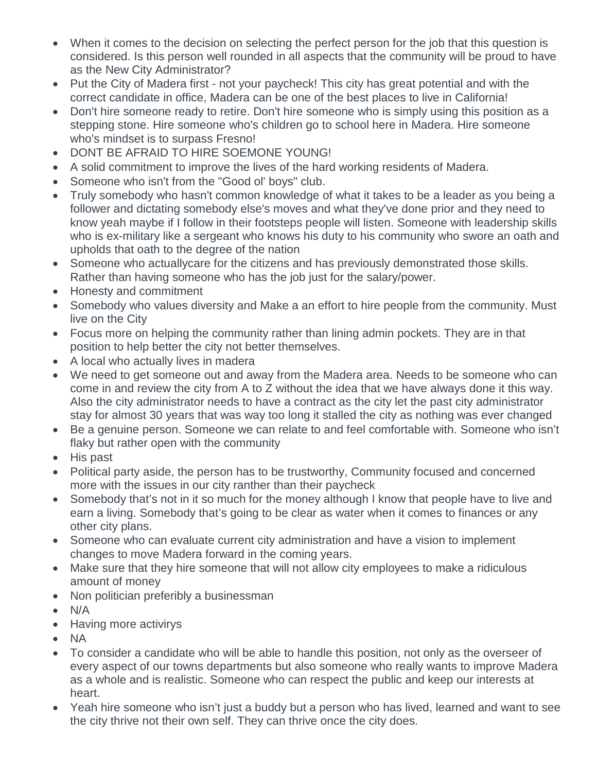- When it comes to the decision on selecting the perfect person for the job that this question is considered. Is this person well rounded in all aspects that the community will be proud to have as the New City Administrator?
- Put the City of Madera first not your paycheck! This city has great potential and with the correct candidate in office, Madera can be one of the best places to live in California!
- Don't hire someone ready to retire. Don't hire someone who is simply using this position as a stepping stone. Hire someone who's children go to school here in Madera. Hire someone who's mindset is to surpass Fresno!
- DONT BE AFRAID TO HIRE SOEMONE YOUNG!
- A solid commitment to improve the lives of the hard working residents of Madera.
- Someone who isn't from the "Good ol' boys" club.
- Truly somebody who hasn't common knowledge of what it takes to be a leader as you being a follower and dictating somebody else's moves and what they've done prior and they need to know yeah maybe if I follow in their footsteps people will listen. Someone with leadership skills who is ex-military like a sergeant who knows his duty to his community who swore an oath and upholds that oath to the degree of the nation
- Someone who actuallycare for the citizens and has previously demonstrated those skills. Rather than having someone who has the job just for the salary/power.
- Honesty and commitment
- Somebody who values diversity and Make a an effort to hire people from the community. Must live on the City
- Focus more on helping the community rather than lining admin pockets. They are in that position to help better the city not better themselves.
- A local who actually lives in madera
- We need to get someone out and away from the Madera area. Needs to be someone who can come in and review the city from A to Z without the idea that we have always done it this way. Also the city administrator needs to have a contract as the city let the past city administrator stay for almost 30 years that was way too long it stalled the city as nothing was ever changed
- Be a genuine person. Someone we can relate to and feel comfortable with. Someone who isn't flaky but rather open with the community
- His past
- Political party aside, the person has to be trustworthy, Community focused and concerned more with the issues in our city ranther than their paycheck
- Somebody that's not in it so much for the money although I know that people have to live and earn a living. Somebody that's going to be clear as water when it comes to finances or any other city plans.
- Someone who can evaluate current city administration and have a vision to implement changes to move Madera forward in the coming years.
- Make sure that they hire someone that will not allow city employees to make a ridiculous amount of money
- Non politician preferibly a businessman
- N/A
- Having more activirys
- NA
- To consider a candidate who will be able to handle this position, not only as the overseer of every aspect of our towns departments but also someone who really wants to improve Madera as a whole and is realistic. Someone who can respect the public and keep our interests at heart.
- Yeah hire someone who isn't just a buddy but a person who has lived, learned and want to see the city thrive not their own self. They can thrive once the city does.